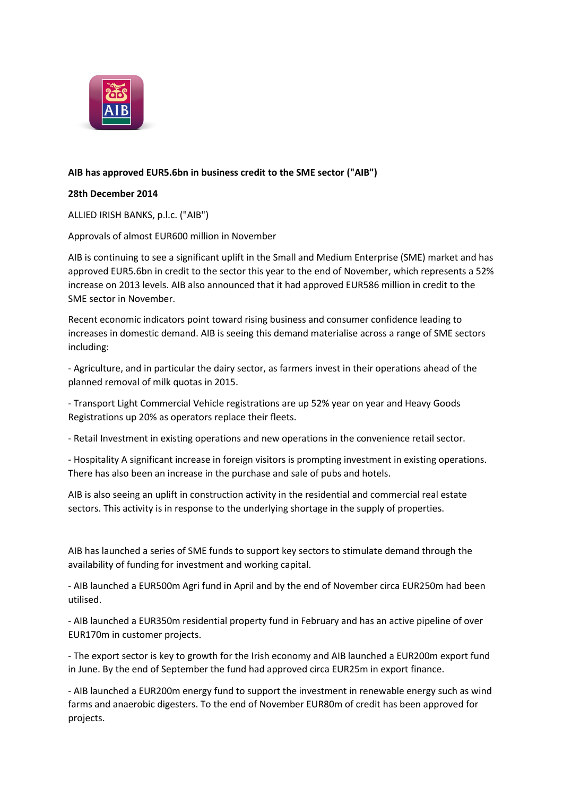

## **AIB has approved EUR5.6bn in business credit to the SME sector ("AIB")**

## **28th December 2014**

ALLIED IRISH BANKS, p.l.c. ("AIB")

Approvals of almost EUR600 million in November

AIB is continuing to see a significant uplift in the Small and Medium Enterprise (SME) market and has approved EUR5.6bn in credit to the sector this year to the end of November, which represents a 52% increase on 2013 levels. AIB also announced that it had approved EUR586 million in credit to the SME sector in November.

Recent economic indicators point toward rising business and consumer confidence leading to increases in domestic demand. AIB is seeing this demand materialise across a range of SME sectors including:

- Agriculture, and in particular the dairy sector, as farmers invest in their operations ahead of the planned removal of milk quotas in 2015.

- Transport Light Commercial Vehicle registrations are up 52% year on year and Heavy Goods Registrations up 20% as operators replace their fleets.

- Retail Investment in existing operations and new operations in the convenience retail sector.

- Hospitality A significant increase in foreign visitors is prompting investment in existing operations. There has also been an increase in the purchase and sale of pubs and hotels.

AIB is also seeing an uplift in construction activity in the residential and commercial real estate sectors. This activity is in response to the underlying shortage in the supply of properties.

AIB has launched a series of SME funds to support key sectors to stimulate demand through the availability of funding for investment and working capital.

- AIB launched a EUR500m Agri fund in April and by the end of November circa EUR250m had been utilised.

- AIB launched a EUR350m residential property fund in February and has an active pipeline of over EUR170m in customer projects.

- The export sector is key to growth for the Irish economy and AIB launched a EUR200m export fund in June. By the end of September the fund had approved circa EUR25m in export finance.

- AIB launched a EUR200m energy fund to support the investment in renewable energy such as wind farms and anaerobic digesters. To the end of November EUR80m of credit has been approved for projects.